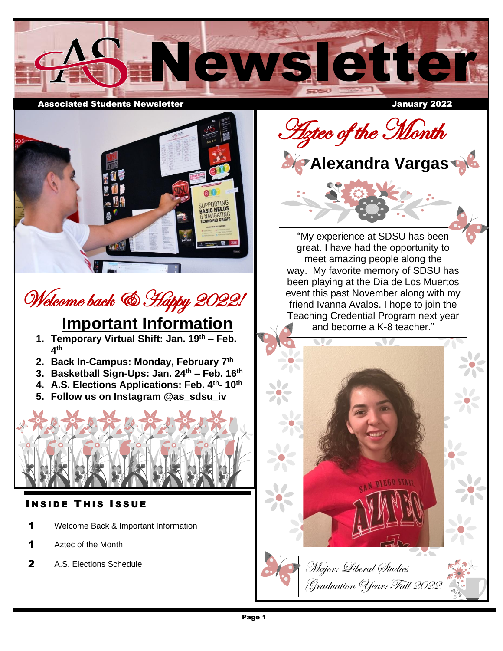

Associated Students Newsletter January 2022

 $\epsilon$ 

## Welcome back & Happy 2022!

#### **Important Information**

- **1. Temporary Virtual Shift: Jan. 19th – Feb. 4 th**
- **2. Back In-Campus: Monday, February 7th**
- **3. Basketball Sign-Ups: Jan. 24th – Feb. 16th**
- **4. A.S. Elections Applications: Feb. 4 th- 10th**
- **5. Follow us on Instagram @as\_sdsu\_iv**



### **INSIDE THIS ISSUE**

- 1 Welcome Back & Important Information
- 1 Aztec of the Month
- 2 A.S. Elections Schedule

**Aztec of the Month** 



I ׇ֦֧ׅ֪֪ׅ֪֪֪ׅ֧֚֚֚֚֚֚֚֚֚֚֚֚֚֚֚֚֡֡֡֡֡֜֓֡֟֓֡֟֓֡֟֓֡֡֡֡֓֡֟֓֡֡֓<br>֧֖֖֧֖֧֪ׅ֖֧ׅ֖֧ׅ֚֚֚֚֚֚֚֚֚֚֚֚֚֚֚֚֚֜֝֝֩֩ "My experience at SDSU has been great. I have had the opportunity to meet amazing people along the way. My favorite memory of SDSU has been playing at the Día de Los Muertos event this past November along with my friend Ivanna Avalos. I hope to join the Teaching Credential Program next year and become a K-8 teacher."